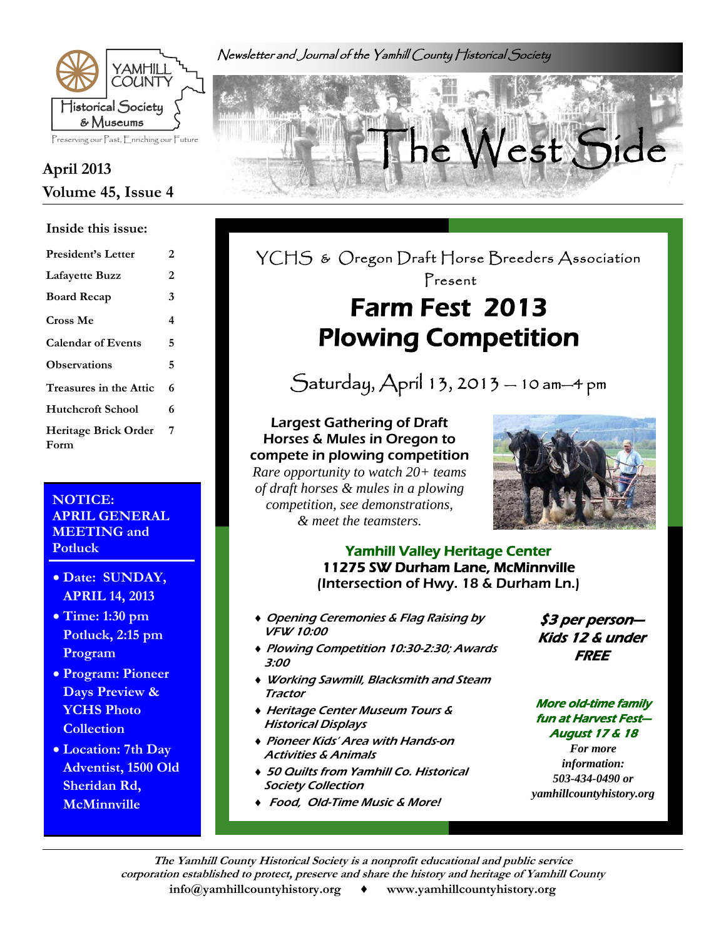Newsletter and Journal of the Yamhill County Historical Society



# **Volume 45, Issue 4**

#### **Inside this issue:**

| <b>President's Letter</b>           | 2 |
|-------------------------------------|---|
| <b>Lafayette Buzz</b>               | 2 |
| <b>Board Recap</b>                  | 3 |
| Cross Me                            | 4 |
| <b>Calendar of Events</b>           | 5 |
| <b>Observations</b>                 | 5 |
| Treasures in the Attic              | 6 |
| <b>Hutchcroft School</b>            | 6 |
| <b>Heritage Brick Order</b><br>Form | 7 |

### **NOTICE: APRIL GENERAL MEETING and Potluck**

- **Date: SUNDAY, APRIL 14, 2013**
- **Time: 1:30 pm Potluck, 2:15 pm Program**
- **Program: Pioneer Days Preview & YCHS Photo Collection**
- **Location: 7th Day Adventist, 1500 Old Sheridan Rd, McMinnville**



### YCHS & Oregon Draft Horse Breeders Association Present Farm Fest 2013

Saturday, April 13, 2013 — 10 am—4 pm

Plowing Competition

Largest Gathering of Draft Horses & Mules in Oregon to compete in plowing competition *Rare opportunity to watch 20+ teams of draft horses & mules in a plowing competition, see demonstrations, & meet the teamsters.* 



### Yamhill Valley Heritage Center 11275 SW Durham Lane, McMinnville (Intersection of Hwy. 18 & Durham Ln.)

- Opening Ceremonies & Flag Raising by VFW 10:00
- Plowing Competition 10:30-2:30; Awards 3:00
- Working Sawmill, Blacksmith and Steam Tractor
- Heritage Center Museum Tours & Historical Displays
- Pioneer Kids' Area with Hands-on Activities & Animals
- 50 Quilts from Yamhill Co. Historical Society Collection
- Food, Old-Time Music & More!

\$3 per person— Kids 12 & under **FREE** 

#### More old-time family fun at Harvest Fest— August 17 & 18

*For more information: 503-434-0490 or yamhillcountyhistory.org* 

**The Yamhill County Historical Society is a nonprofit educational and public service corporation established to protect, preserve and share the history and heritage of Yamhill County info@yamhillcountyhistory.org ♦ www.yamhillcountyhistory.org**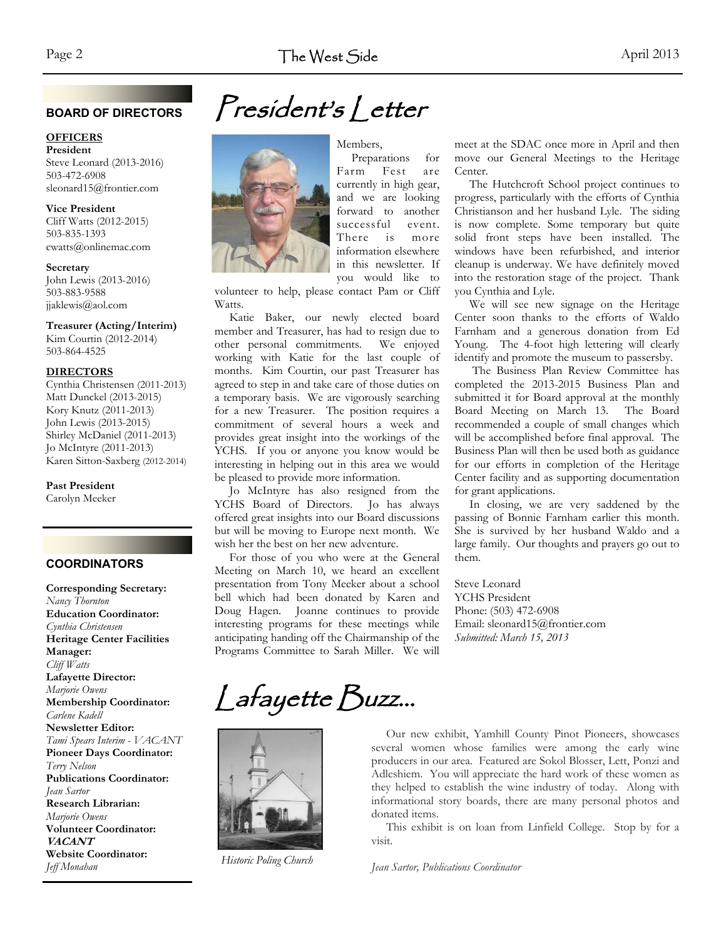#### **BOARD OF DIRECTORS**

#### **OFFICERS**

**President**  Steve Leonard (2013-2016) 503-472-6908 sleonard15@frontier.com

**Vice President**  Cliff Watts (2012-2015) 503-835-1393 cwatts@onlinemac.com

#### **Secretary**

John Lewis (2013-2016) 503-883-9588 jjaklewis@aol.com

#### **Treasurer (Acting/Interim)**

Kim Courtin (2012-2014) 503-864-4525

#### **DIRECTORS**

Cynthia Christensen (2011-2013) Matt Dunckel (2013-2015) Kory Knutz (2011-2013) John Lewis (2013-2015) Shirley McDaniel (2011-2013) Jo McIntyre (2011-2013) Karen Sitton-Saxberg (2012-2014)

#### **Past President**

Carolyn Meeker

#### **COORDINATORS**

**Corresponding Secretary:**  *Nancy Thornton*  **Education Coordinator:**  *Cynthia Christensen* **Heritage Center Facilities Manager:**  *Cliff Watts*  **Lafayette Director:**  *Marjorie Owens*  **Membership Coordinator:**  *Carlene Kadell*  **Newsletter Editor:**  *Tami Spears Interim - VACANT*  **Pioneer Days Coordinator:**  *Terry Nelson*  **Publications Coordinator:**  *Jean Sartor*  **Research Librarian:**  *Marjorie Owens*  **Volunteer Coordinator: VACANT Website Coordinator:**  *Jeff Monahan*



## President's Letter

 Preparations for Farm Fest are currently in high gear, and we are looking forward to another successful event. There is more information elsewhere in this newsletter. If you would like to

volunteer to help, please contact Pam or Cliff Watts.

 Katie Baker, our newly elected board member and Treasurer, has had to resign due to other personal commitments. We enjoyed working with Katie for the last couple of months. Kim Courtin, our past Treasurer has agreed to step in and take care of those duties on a temporary basis. We are vigorously searching for a new Treasurer. The position requires a commitment of several hours a week and provides great insight into the workings of the YCHS. If you or anyone you know would be interesting in helping out in this area we would be pleased to provide more information.

 Jo McIntyre has also resigned from the YCHS Board of Directors. Jo has always offered great insights into our Board discussions but will be moving to Europe next month. We wish her the best on her new adventure.

 For those of you who were at the General Meeting on March 10, we heard an excellent presentation from Tony Meeker about a school bell which had been donated by Karen and Doug Hagen. Joanne continues to provide interesting programs for these meetings while anticipating handing off the Chairmanship of the Programs Committee to Sarah Miller. We will

meet at the SDAC once more in April and then move our General Meetings to the Heritage Center.

 The Hutchcroft School project continues to progress, particularly with the efforts of Cynthia Christianson and her husband Lyle. The siding is now complete. Some temporary but quite solid front steps have been installed. The windows have been refurbished, and interior cleanup is underway. We have definitely moved into the restoration stage of the project. Thank you Cynthia and Lyle.

 We will see new signage on the Heritage Center soon thanks to the efforts of Waldo Farnham and a generous donation from Ed Young. The 4-foot high lettering will clearly identify and promote the museum to passersby.

 The Business Plan Review Committee has completed the 2013-2015 Business Plan and submitted it for Board approval at the monthly Board Meeting on March 13. The Board recommended a couple of small changes which will be accomplished before final approval. The Business Plan will then be used both as guidance for our efforts in completion of the Heritage Center facility and as supporting documentation for grant applications.

 In closing, we are very saddened by the passing of Bonnie Farnham earlier this month. She is survived by her husband Waldo and a large family. Our thoughts and prayers go out to them.

Steve Leonard YCHS President Phone: (503) 472-6908 Email: sleonard15@frontier.com *Submitted: March 15, 2013* 

# Lafayette Buzz...



*Historic Poling Church* 

 Our new exhibit, Yamhill County Pinot Pioneers, showcases several women whose families were among the early wine producers in our area. Featured are Sokol Blosser, Lett, Ponzi and Adleshiem. You will appreciate the hard work of these women as they helped to establish the wine industry of today. Along with informational story boards, there are many personal photos and donated items.

 This exhibit is on loan from Linfield College. Stop by for a visit.

*Jean Sartor, Publications Coordinator*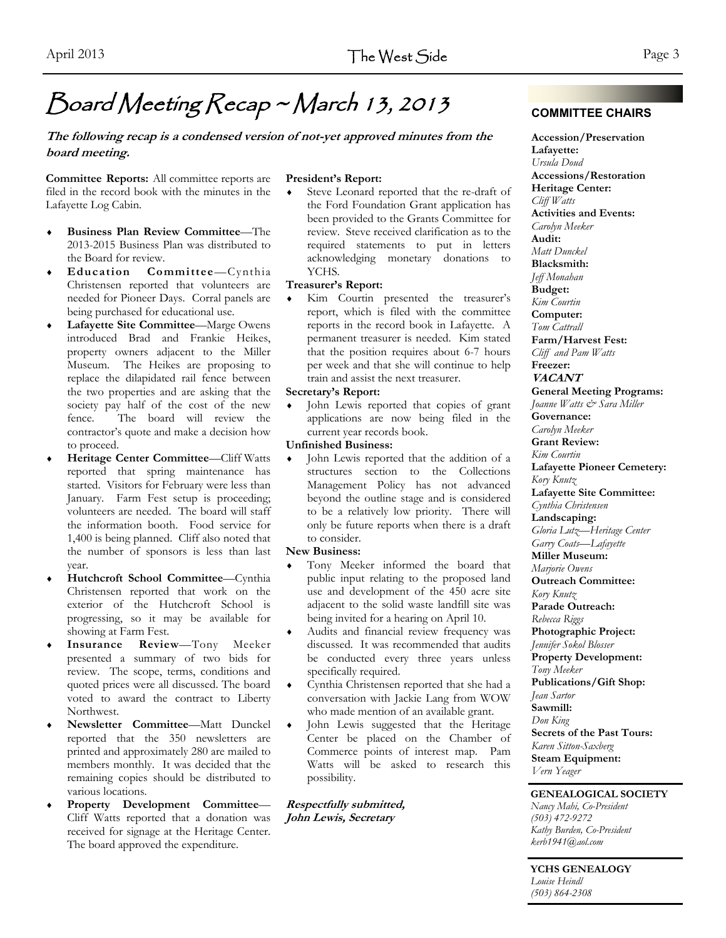### Board Meeting Recap ~ March 13, 2013

#### **The following recap is a condensed version of not-yet approved minutes from the board meeting.**

**Committee Reports:** All committee reports are filed in the record book with the minutes in the Lafayette Log Cabin.

- **Business Plan Review Committee**—The 2013-2015 Business Plan was distributed to the Board for review.
- **Education Committee**—Cynthia Christensen reported that volunteers are needed for Pioneer Days. Corral panels are being purchased for educational use.
- **Lafayette Site Committee**—Marge Owens introduced Brad and Frankie Heikes, property owners adjacent to the Miller Museum. The Heikes are proposing to replace the dilapidated rail fence between the two properties and are asking that the society pay half of the cost of the new fence. The board will review the contractor's quote and make a decision how to proceed.
- **Heritage Center Committee**—Cliff Watts reported that spring maintenance has started. Visitors for February were less than January. Farm Fest setup is proceeding; volunteers are needed. The board will staff the information booth. Food service for 1,400 is being planned. Cliff also noted that the number of sponsors is less than last year.
- **Hutchcroft School Committee**—Cynthia Christensen reported that work on the exterior of the Hutchcroft School is progressing, so it may be available for showing at Farm Fest.
- **Insurance Review**—Tony Meeker presented a summary of two bids for review. The scope, terms, conditions and quoted prices were all discussed. The board voted to award the contract to Liberty Northwest.
- **Newsletter Committee**—Matt Dunckel reported that the 350 newsletters are printed and approximately 280 are mailed to members monthly. It was decided that the remaining copies should be distributed to various locations.
- **Property Development Committee** Cliff Watts reported that a donation was received for signage at the Heritage Center. The board approved the expenditure.

#### **President's Report:**

 Steve Leonard reported that the re-draft of the Ford Foundation Grant application has been provided to the Grants Committee for review. Steve received clarification as to the required statements to put in letters acknowledging monetary donations to YCHS.

#### **Treasurer's Report:**

 Kim Courtin presented the treasurer's report, which is filed with the committee reports in the record book in Lafayette. A permanent treasurer is needed. Kim stated that the position requires about 6-7 hours per week and that she will continue to help train and assist the next treasurer.

#### **Secretary's Report:**

 John Lewis reported that copies of grant applications are now being filed in the current year records book.

#### **Unfinished Business:**

 John Lewis reported that the addition of a structures section to the Collections Management Policy has not advanced beyond the outline stage and is considered to be a relatively low priority. There will only be future reports when there is a draft to consider.

#### **New Business:**

- Tony Meeker informed the board that public input relating to the proposed land use and development of the 450 acre site adjacent to the solid waste landfill site was being invited for a hearing on April 10.
- Audits and financial review frequency was discussed. It was recommended that audits be conducted every three years unless specifically required.
- Cynthia Christensen reported that she had a conversation with Jackie Lang from WOW who made mention of an available grant.
- John Lewis suggested that the Heritage Center be placed on the Chamber of Commerce points of interest map. Pam Watts will be asked to research this possibility.

**Respectfully submitted, John Lewis, Secretary** 

**Accession/Preservation Lafayette:**  *Ursula Doud*  **Accessions/Restoration Heritage Center:**  *Cliff Watts*  **Activities and Events:**  *Carolyn Meeker*  **Audit:**  *Matt Dunckel* **Blacksmith:**  *Jeff Monahan*  **Budget:**  *Kim Courtin*  **Computer:**  *Tom Cattrall*  **Farm/Harvest Fest:**  *Cliff and Pam Watts*  **Freezer: VACANT General Meeting Programs:**  *Joanne Watts & Sara Miller* **Governance:**  *Carolyn Meeker*  **Grant Review:**  *Kim Courtin*  **Lafayette Pioneer Cemetery:**  *Kory Knutz*  **Lafayette Site Committee:**  *Cynthia Christensen* **Landscaping:**  *Gloria Lutz—Heritage Center Garry Coats—Lafayette*  **Miller Museum:**  *Marjorie Owens*  **Outreach Committee:**  *Kory Knutz* **Parade Outreach:**  *Rebecca Riggs* **Photographic Project:**  *Jennifer Sokol Blosser* **Property Development:**  *Tony Meeker*  **Publications/Gift Shop:**  *Jean Sartor*  **Sawmill:**  *Don King*  **Secrets of the Past Tours:**  *Karen Sitton-Saxberg*  **Steam Equipment:**  *Vern Yeager*

#### **GENEALOGICAL SOCIETY**

*Nancy Mahi, Co-President (503) 472-9272 Kathy Burden, Co-President kerb1941@aol.com* 

**YCHS GENEALOGY**  *Louise Heindl (503) 864-2308* 

#### **COMMITTEE CHAIRS**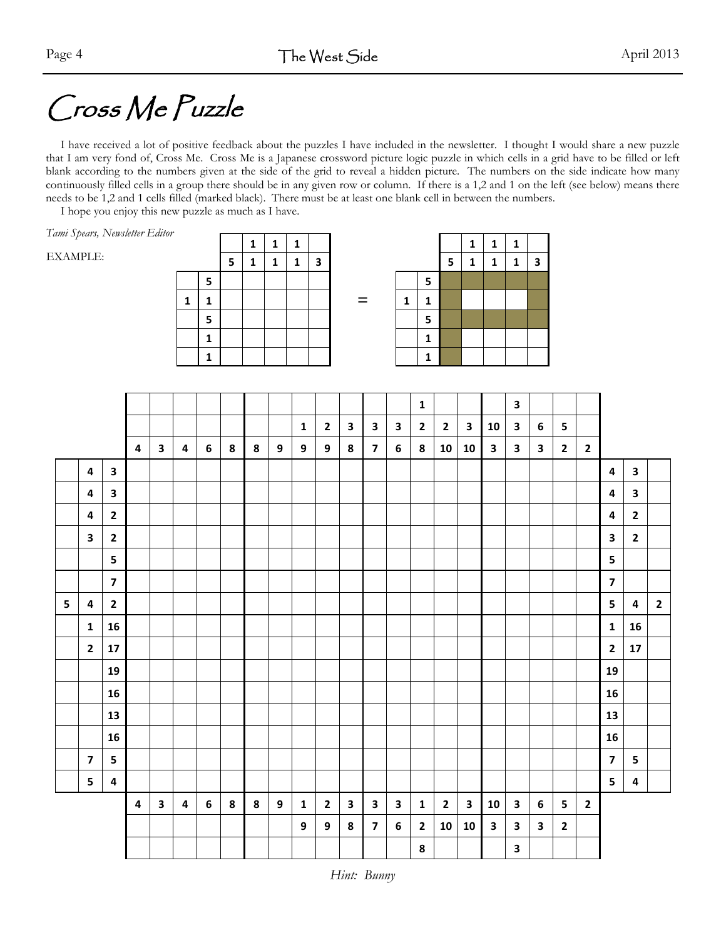# Cross Me Puzzle

 I have received a lot of positive feedback about the puzzles I have included in the newsletter. I thought I would share a new puzzle that I am very fond of, Cross Me. Cross Me is a Japanese crossword picture logic puzzle in which cells in a grid have to be filled or left blank according to the numbers given at the side of the grid to reveal a hidden picture. The numbers on the side indicate how many continuously filled cells in a group there should be in any given row or column. If there is a 1,2 and 1 on the left (see below) means there needs to be 1,2 and 1 cells filled (marked black). There must be at least one blank cell in between the numbers.

I hope you enjoy this new puzzle as much as I have.

*Tami Spears, Newsletter Editor* 

EXAMPLE:

|              |              |   | 1 | 1 | 1 |                         |
|--------------|--------------|---|---|---|---|-------------------------|
|              |              | 5 | 1 | 1 | 1 | $\overline{\mathbf{3}}$ |
|              | 5            |   |   |   |   |                         |
| $\mathbf{1}$ | $\mathbf 1$  |   |   |   |   |                         |
|              | 5            |   |   |   |   |                         |
|              | 1            |   |   |   |   |                         |
|              | $\mathbf{1}$ |   |   |   |   |                         |

|   |   |   | 1 | 1 | 1 |   |   |   |   |   | 1 | 1 | 1 |   |
|---|---|---|---|---|---|---|---|---|---|---|---|---|---|---|
|   |   | 5 | 1 | 1 | 1 | 3 |   |   |   | 5 | 1 | 1 | 1 | 3 |
|   | 5 |   |   |   |   |   |   |   | 5 |   |   |   |   |   |
| 1 | 1 |   |   |   |   |   | = | 1 |   |   |   |   |   |   |
|   | 5 |   |   |   |   |   |   |   | 5 |   |   |   |   |   |
|   | 1 |   |   |   |   |   |   |   |   |   |   |   |   |   |
|   | 1 |   |   |   |   |   |   |   |   |   |   |   |   |   |

|           |                         |                         |                         |              |   |   |   |   |                  |              |                |                         |                         |                  | ${\bf 1}$      |                |                         |              | 3            |              |                |              |                         |                |              |
|-----------|-------------------------|-------------------------|-------------------------|--------------|---|---|---|---|------------------|--------------|----------------|-------------------------|-------------------------|------------------|----------------|----------------|-------------------------|--------------|--------------|--------------|----------------|--------------|-------------------------|----------------|--------------|
|           |                         |                         |                         |              |   |   |   |   |                  | $\mathbf{1}$ | $\overline{2}$ | $\mathbf{3}$            | $\mathbf{3}$            | 3                | $\overline{2}$ | $\overline{2}$ | $\mathbf{3}$            | 10           | $\mathbf{3}$ | 6            | 5              |              |                         |                |              |
|           |                         |                         | 4                       | $\mathbf{3}$ | 4 | 6 | 8 | 8 | $\boldsymbol{9}$ | 9            | 9              | 8                       | $\overline{\mathbf{z}}$ | $\boldsymbol{6}$ | 8              | 10             | 10                      | $\mathbf{3}$ | $\mathbf{3}$ | $\mathbf{3}$ | $\overline{2}$ | $\mathbf{2}$ |                         |                |              |
|           | 4                       | $\mathbf{3}$            |                         |              |   |   |   |   |                  |              |                |                         |                         |                  |                |                |                         |              |              |              |                |              | 4                       | $\mathbf{3}$   |              |
|           | 4                       | $\overline{\mathbf{3}}$ |                         |              |   |   |   |   |                  |              |                |                         |                         |                  |                |                |                         |              |              |              |                |              | 4                       | $\mathbf{3}$   |              |
|           | 4                       | $\mathbf{2}$            |                         |              |   |   |   |   |                  |              |                |                         |                         |                  |                |                |                         |              |              |              |                |              | 4                       | $\mathbf{2}$   |              |
|           | $\overline{\mathbf{3}}$ | $\mathbf{2}$            |                         |              |   |   |   |   |                  |              |                |                         |                         |                  |                |                |                         |              |              |              |                |              | $\overline{\mathbf{3}}$ | $\overline{2}$ |              |
|           |                         | 5                       |                         |              |   |   |   |   |                  |              |                |                         |                         |                  |                |                |                         |              |              |              |                |              | 5                       |                |              |
|           |                         | $\overline{\mathbf{z}}$ |                         |              |   |   |   |   |                  |              |                |                         |                         |                  |                |                |                         |              |              |              |                |              | $\overline{\mathbf{z}}$ |                |              |
| ${\sf 5}$ | 4                       | $\overline{2}$          |                         |              |   |   |   |   |                  |              |                |                         |                         |                  |                |                |                         |              |              |              |                |              | 5                       | 4              | $\mathbf{2}$ |
|           | $\mathbf 1$             | 16                      |                         |              |   |   |   |   |                  |              |                |                         |                         |                  |                |                |                         |              |              |              |                |              | $\mathbf 1$             | 16             |              |
|           | $\mathbf{2}$            | 17                      |                         |              |   |   |   |   |                  |              |                |                         |                         |                  |                |                |                         |              |              |              |                |              | $\mathbf{2}$            | 17             |              |
|           |                         | 19                      |                         |              |   |   |   |   |                  |              |                |                         |                         |                  |                |                |                         |              |              |              |                |              | 19                      |                |              |
|           |                         | 16                      |                         |              |   |   |   |   |                  |              |                |                         |                         |                  |                |                |                         |              |              |              |                |              | 16                      |                |              |
|           |                         | 13                      |                         |              |   |   |   |   |                  |              |                |                         |                         |                  |                |                |                         |              |              |              |                |              | 13                      |                |              |
|           |                         | 16                      |                         |              |   |   |   |   |                  |              |                |                         |                         |                  |                |                |                         |              |              |              |                |              | 16                      |                |              |
|           | $\overline{\mathbf{z}}$ | 5                       |                         |              |   |   |   |   |                  |              |                |                         |                         |                  |                |                |                         |              |              |              |                |              | $\overline{\mathbf{z}}$ | 5              |              |
|           | $5\phantom{a}$          | 4                       |                         |              |   |   |   |   |                  |              |                |                         |                         |                  |                |                |                         |              |              |              |                |              | 5                       | $\pmb{4}$      |              |
|           |                         |                         | $\overline{\mathbf{4}}$ | $\mathbf{3}$ | 4 | 6 | 8 | 8 | $\mathbf{9}$     | $\mathbf{1}$ | $\overline{2}$ | $\overline{\mathbf{3}}$ | $\mathbf{3}$            | $\mathbf{3}$     | $\mathbf{1}$   | $\overline{2}$ | $\overline{\mathbf{3}}$ | 10           | $\mathbf{3}$ | 6            | 5              | $\mathbf 2$  |                         |                |              |
|           |                         |                         |                         |              |   |   |   |   |                  | 9            | 9              | 8                       | $\overline{\mathbf{z}}$ | 6                | $\mathbf{2}$   | 10             | 10                      | $\mathbf{3}$ | $\mathbf{3}$ | $\mathbf{3}$ | $\overline{2}$ |              |                         |                |              |
|           |                         |                         |                         |              |   |   |   |   |                  |              |                |                         |                         |                  | ${\bf 8}$      |                |                         |              | 3            |              |                |              |                         |                |              |

*Hint: Bunny*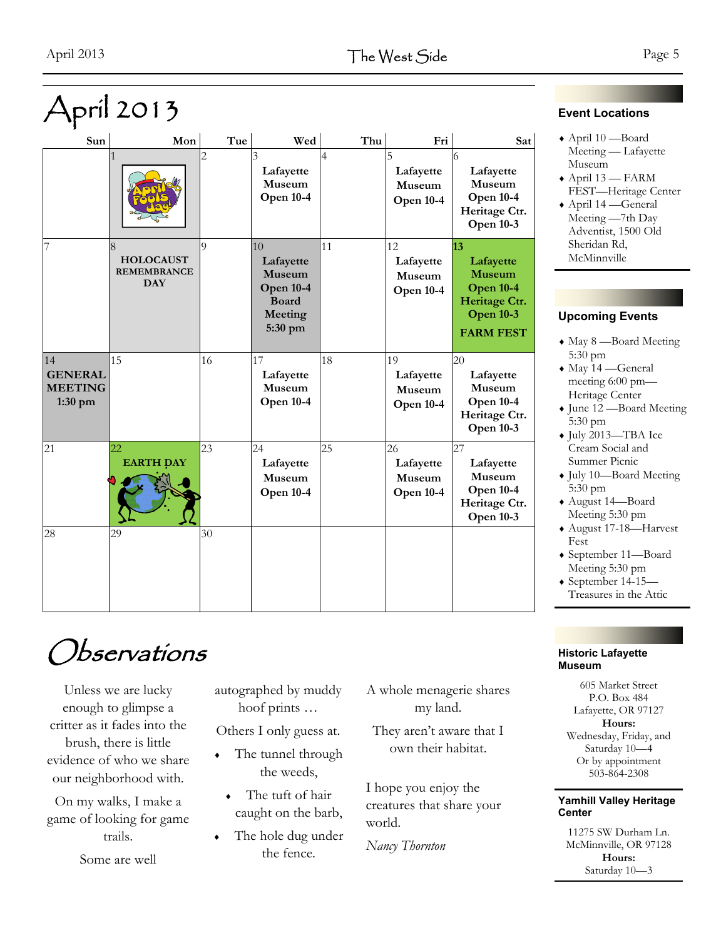|                                                   | príl 2013                                                 |                |                                                                                            |                |                                               |                                                                                                               |
|---------------------------------------------------|-----------------------------------------------------------|----------------|--------------------------------------------------------------------------------------------|----------------|-----------------------------------------------|---------------------------------------------------------------------------------------------------------------|
| Sun                                               | Mon                                                       | Tue            | Wed                                                                                        | Thu            | Fri                                           | Sat                                                                                                           |
|                                                   | $\mathbf{1}$                                              | $\overline{c}$ | 3<br>Lafayette<br>Museum<br><b>Open 10-4</b>                                               | $\overline{4}$ | 5<br>Lafayette<br>Museum<br><b>Open 10-4</b>  | 6<br>Lafayette<br>Museum<br><b>Open 10-4</b><br>Heritage Ctr.<br><b>Open 10-3</b>                             |
| 7                                                 | 8<br><b>HOLOCAUST</b><br><b>REMEMBRANCE</b><br><b>DAY</b> | $\overline{Q}$ | 10<br>Lafayette<br><b>Museum</b><br><b>Open 10-4</b><br><b>Board</b><br>Meeting<br>5:30 pm | 11             | 12<br>Lafayette<br>Museum<br><b>Open 10-4</b> | 13<br>Lafayette<br><b>Museum</b><br><b>Open 10-4</b><br>Heritage Ctr.<br><b>Open 10-3</b><br><b>FARM FEST</b> |
| 14<br><b>GENERAL</b><br><b>MEETING</b><br>1:30 pm | 15                                                        | 16             | 17<br>Lafayette<br>Museum<br><b>Open 10-4</b>                                              | 18             | 19<br>Lafayette<br>Museum<br><b>Open 10-4</b> | 20<br>Lafayette<br>Museum<br><b>Open 10-4</b><br>Heritage Ctr.<br><b>Open 10-3</b>                            |
| 21                                                | $\overline{22}$<br><b>EARTH DAY</b>                       | 23             | 24<br>Lafayette<br>Museum<br><b>Open 10-4</b>                                              | 25             | 26<br>Lafayette<br>Museum<br><b>Open 10-4</b> | 27<br>Lafayette<br>Museum<br><b>Open 10-4</b><br>Heritage Ctr.<br><b>Open 10-3</b>                            |
| 28                                                | 29                                                        | 30             |                                                                                            |                |                                               |                                                                                                               |

#### **Event Locations**

- April 10 —Board Meeting — Lafayette Museum
- $\triangle$  April 13 FARM FEST—Heritage Center
- April 14 —General Meeting —7th Day Adventist, 1500 Old Sheridan Rd, McMinnville

#### **Upcoming Events**

- May 8 —Board Meeting 5:30 pm
- May 14 —General meeting 6:00 pm— Heritage Center
- June 12 —Board Meeting 5:30 pm
- July 2013—TBA Ice Cream Social and Summer Picnic
- July 10—Board Meeting 5:30 pm
- August 14—Board Meeting 5:30 pm
- August 17-18—Harvest Fest
- September 11—Board Meeting 5:30 pm
- $\bullet$  September 14-15— Treasures in the Attic

#### **Historic Lafayette Museum**

605 Market Street P.O. Box 484 Lafayette, OR 97127 **Hours:**  Wednesday, Friday, and Saturday 10—4 Or by appointment 503-864-2308

#### **Yamhill Valley Heritage Center**

11275 SW Durham Ln. McMinnville, OR 97128 **Hours:**  Saturday 10—3

### Observations

Unless we are lucky enough to glimpse a critter as it fades into the brush, there is little evidence of who we share our neighborhood with.

On my walks, I make a game of looking for game trails.

Some are well

autographed by muddy hoof prints …

Others I only guess at.

- The tunnel through the weeds,
- The tuft of hair caught on the barb,
- The hole dug under the fence.

A whole menagerie shares my land.

They aren't aware that I own their habitat.

I hope you enjoy the creatures that share your world.

*Nancy Thornton*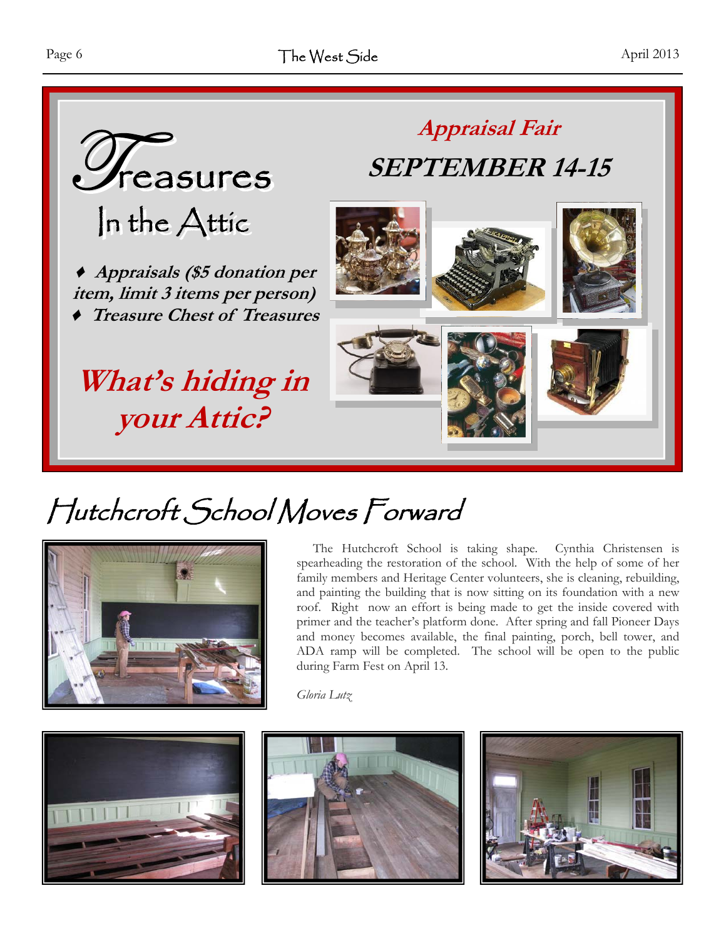

# Hutchcroft School Moves Forward



 The Hutchcroft School is taking shape. Cynthia Christensen is spearheading the restoration of the school. With the help of some of her family members and Heritage Center volunteers, she is cleaning, rebuilding, and painting the building that is now sitting on its foundation with a new roof. Right now an effort is being made to get the inside covered with primer and the teacher's platform done. After spring and fall Pioneer Days and money becomes available, the final painting, porch, bell tower, and ADA ramp will be completed. The school will be open to the public during Farm Fest on April 13.

*Gloria Lutz*





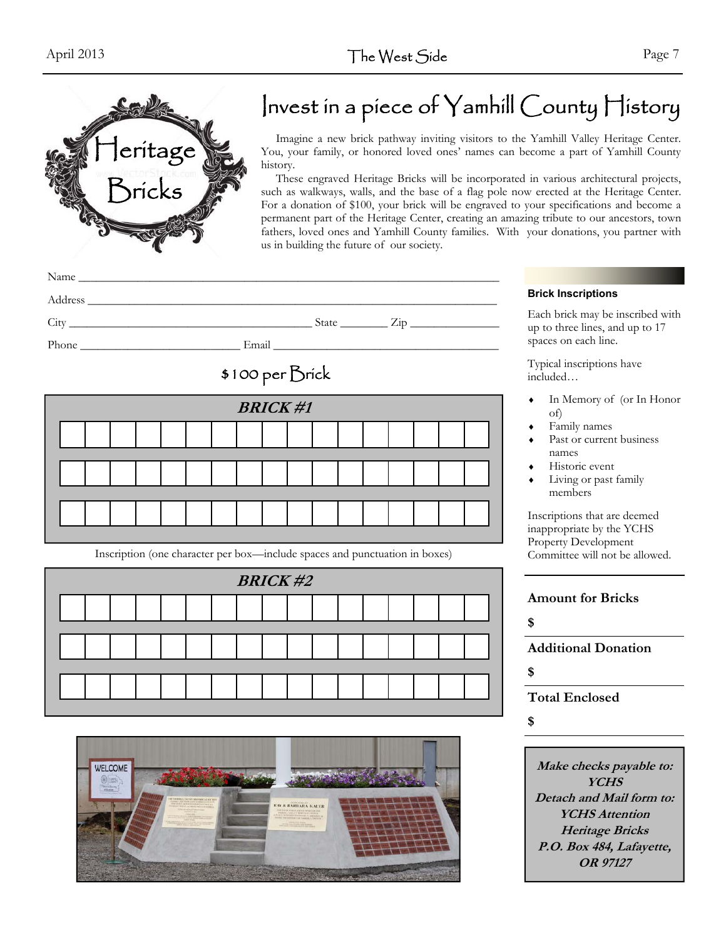

### Invest in a piece of Yamhill County History

 Imagine a new brick pathway inviting visitors to the Yamhill Valley Heritage Center. You, your family, or honored loved ones' names can become a part of Yamhill County history.

 These engraved Heritage Bricks will be incorporated in various architectural projects, such as walkways, walls, and the base of a flag pole now erected at the Heritage Center. For a donation of \$100, your brick will be engraved to your specifications and become a permanent part of the Heritage Center, creating an amazing tribute to our ancestors, town fathers, loved ones and Yamhill County families. With your donations, you partner with us in building the future of our society.

| Name                                                                                                           |       |       |                        |   |
|----------------------------------------------------------------------------------------------------------------|-------|-------|------------------------|---|
| Address<br>the contract of the contract of the contract of the contract of the contract of the contract of the |       |       |                        |   |
| City                                                                                                           |       | State | $\angle$ <sub>10</sub> |   |
| Phone                                                                                                          | Email |       |                        | S |



| <b>BRICK#1</b> |  |  |  |  |  |  |  |  |  |  |  |  |  |  |
|----------------|--|--|--|--|--|--|--|--|--|--|--|--|--|--|
|                |  |  |  |  |  |  |  |  |  |  |  |  |  |  |
|                |  |  |  |  |  |  |  |  |  |  |  |  |  |  |
|                |  |  |  |  |  |  |  |  |  |  |  |  |  |  |
|                |  |  |  |  |  |  |  |  |  |  |  |  |  |  |

Inscription (one character per box—include spaces and punctuation in boxes) Committee will not be allowed.



#### **Brick Inscriptions**

Each brick may be inscribed with up to three lines, and up to 17 spaces on each line.

Typical inscriptions have included…

- In Memory of (or In Honor of)
- Family names
- Past or current business names
- Historic event
- Living or past family members

Inscriptions that are deemed inappropriate by the YCHS Property Development

| <b>Amount for Bricks</b>   |
|----------------------------|
|                            |
| <b>Additional Donation</b> |
|                            |
| <b>Total Enclosed</b>      |
|                            |

**\$** 

**Make checks payable to: YCHS Detach and Mail form to: YCHS Attention Heritage Bricks P.O. Box 484, Lafayette, OR 97127**